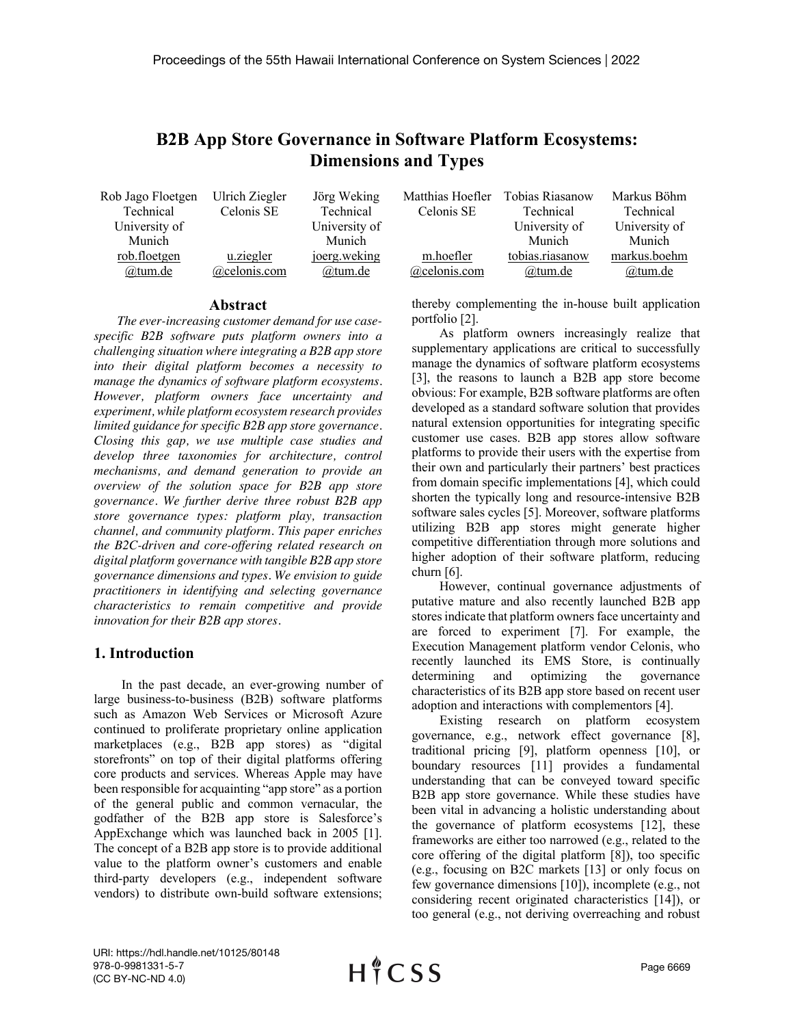# **B2B App Store Governance in Software Platform Ecosystems: Dimensions and Types**

| Rob Jago Floetgen | Ulrich Ziegler | Jörg Weking   | Matthias Hoefler | Tobias Riasanow | Markus Böhm   |
|-------------------|----------------|---------------|------------------|-----------------|---------------|
| Technical         | Celonis SE     | Technical     | Celonis SE       | Technical       | Technical     |
| University of     |                | University of |                  | University of   | University of |
| Munich            |                | Munich        |                  | Munich          | Munich        |
| rob.floetgen      | u.ziegler      | joerg.weking  | m.hoefler        | tobias.riasanow | markus.boehm  |
| @tum.de           | @celonis.com   | @tum.de       | $@$ celonis.com  | @tum.de         | @tum.de       |

#### **Abstract**

*The ever-increasing customer demand for use casespecific B2B software puts platform owners into a challenging situation where integrating a B2B app store into their digital platform becomes a necessity to manage the dynamics of software platform ecosystems. However, platform owners face uncertainty and experiment, while platform ecosystem research provides limited guidance for specific B2B app store governance. Closing this gap, we use multiple case studies and develop three taxonomies for architecture, control mechanisms, and demand generation to provide an overview of the solution space for B2B app store governance. We further derive three robust B2B app store governance types: platform play, transaction channel, and community platform. This paper enriches the B2C-driven and core-offering related research on digital platform governance with tangible B2B app store governance dimensions and types. We envision to guide practitioners in identifying and selecting governance characteristics to remain competitive and provide innovation for their B2B app stores.*

## **1. Introduction**

In the past decade, an ever-growing number of large business-to-business (B2B) software platforms such as Amazon Web Services or Microsoft Azure continued to proliferate proprietary online application marketplaces (e.g., B2B app stores) as "digital storefronts" on top of their digital platforms offering core products and services. Whereas Apple may have been responsible for acquainting "app store" as a portion of the general public and common vernacular, the godfather of the B2B app store is Salesforce's AppExchange which was launched back in 2005 [1]. The concept of a B2B app store is to provide additional value to the platform owner's customers and enable third-party developers (e.g., independent software vendors) to distribute own-build software extensions;

thereby complementing the in-house built application portfolio [2].

As platform owners increasingly realize that supplementary applications are critical to successfully manage the dynamics of software platform ecosystems [3], the reasons to launch a B2B app store become obvious: For example, B2B software platforms are often developed as a standard software solution that provides natural extension opportunities for integrating specific customer use cases. B2B app stores allow software platforms to provide their users with the expertise from their own and particularly their partners' best practices from domain specific implementations [4], which could shorten the typically long and resource-intensive B2B software sales cycles [5]. Moreover, software platforms utilizing B2B app stores might generate higher competitive differentiation through more solutions and higher adoption of their software platform, reducing churn [6].

However, continual governance adjustments of putative mature and also recently launched B2B app stores indicate that platform owners face uncertainty and are forced to experiment [7]. For example, the Execution Management platform vendor Celonis, who recently launched its EMS Store, is continually determining and optimizing the governance characteristics of its B2B app store based on recent user adoption and interactions with complementors [4].

Existing research on platform ecosystem governance, e.g., network effect governance [8], traditional pricing [9], platform openness [10], or boundary resources [11] provides a fundamental understanding that can be conveyed toward specific B2B app store governance. While these studies have been vital in advancing a holistic understanding about the governance of platform ecosystems [12], these frameworks are either too narrowed (e.g., related to the core offering of the digital platform [8]), too specific (e.g., focusing on B2C markets [13] or only focus on few governance dimensions [10]), incomplete (e.g., not considering recent originated characteristics [14]), or too general (e.g., not deriving overreaching and robust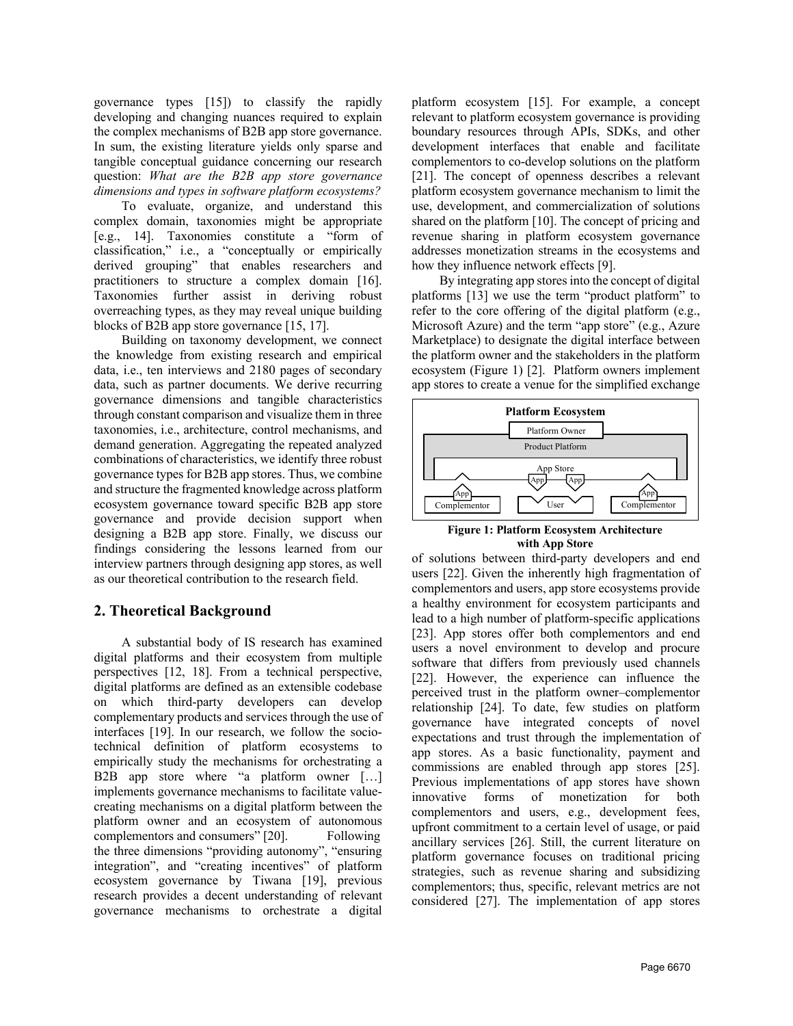governance types [15]) to classify the rapidly developing and changing nuances required to explain the complex mechanisms of B2B app store governance. In sum, the existing literature yields only sparse and tangible conceptual guidance concerning our research question: *What are the B2B app store governance dimensions and types in software platform ecosystems?*

To evaluate, organize, and understand this complex domain, taxonomies might be appropriate [e.g., 14]. Taxonomies constitute a "form of classification," i.e., a "conceptually or empirically derived grouping" that enables researchers and practitioners to structure a complex domain [16]. Taxonomies further assist in deriving robust overreaching types, as they may reveal unique building blocks of B2B app store governance [15, 17].

Building on taxonomy development, we connect the knowledge from existing research and empirical data, i.e., ten interviews and 2180 pages of secondary data, such as partner documents. We derive recurring governance dimensions and tangible characteristics through constant comparison and visualize them in three taxonomies, i.e., architecture, control mechanisms, and demand generation. Aggregating the repeated analyzed combinations of characteristics, we identify three robust governance types for B2B app stores. Thus, we combine and structure the fragmented knowledge across platform ecosystem governance toward specific B2B app store governance and provide decision support when designing a B2B app store. Finally, we discuss our findings considering the lessons learned from our interview partners through designing app stores, as well as our theoretical contribution to the research field.

## **2. Theoretical Background**

A substantial body of IS research has examined digital platforms and their ecosystem from multiple perspectives [12, 18]. From a technical perspective, digital platforms are defined as an extensible codebase on which third-party developers can develop complementary products and services through the use of interfaces [19]. In our research, we follow the sociotechnical definition of platform ecosystems to empirically study the mechanisms for orchestrating a B2B app store where "a platform owner […] implements governance mechanisms to facilitate valuecreating mechanisms on a digital platform between the platform owner and an ecosystem of autonomous complementors and consumers" [20]. Following the three dimensions "providing autonomy", "ensuring integration", and "creating incentives" of platform ecosystem governance by Tiwana [19], previous research provides a decent understanding of relevant governance mechanisms to orchestrate a digital

platform ecosystem [15]. For example, a concept relevant to platform ecosystem governance is providing boundary resources through APIs, SDKs, and other development interfaces that enable and facilitate complementors to co-develop solutions on the platform [21]. The concept of openness describes a relevant platform ecosystem governance mechanism to limit the use, development, and commercialization of solutions shared on the platform [10]. The concept of pricing and revenue sharing in platform ecosystem governance addresses monetization streams in the ecosystems and how they influence network effects [9].

By integrating app stores into the concept of digital platforms [13] we use the term "product platform" to refer to the core offering of the digital platform (e.g., Microsoft Azure) and the term "app store" (e.g., Azure Marketplace) to designate the digital interface between the platform owner and the stakeholders in the platform ecosystem (Figure 1) [2]. Platform owners implement app stores to create a venue for the simplified exchange





of solutions between third-party developers and end users [22]. Given the inherently high fragmentation of complementors and users, app store ecosystems provide a healthy environment for ecosystem participants and lead to a high number of platform-specific applications [23]. App stores offer both complementors and end users a novel environment to develop and procure software that differs from previously used channels [22]. However, the experience can influence the perceived trust in the platform owner–complementor relationship [24]. To date, few studies on platform governance have integrated concepts of novel expectations and trust through the implementation of app stores. As a basic functionality, payment and commissions are enabled through app stores [25]. Previous implementations of app stores have shown innovative forms of monetization for both complementors and users, e.g., development fees, upfront commitment to a certain level of usage, or paid ancillary services [26]. Still, the current literature on platform governance focuses on traditional pricing strategies, such as revenue sharing and subsidizing complementors; thus, specific, relevant metrics are not considered [27]. The implementation of app stores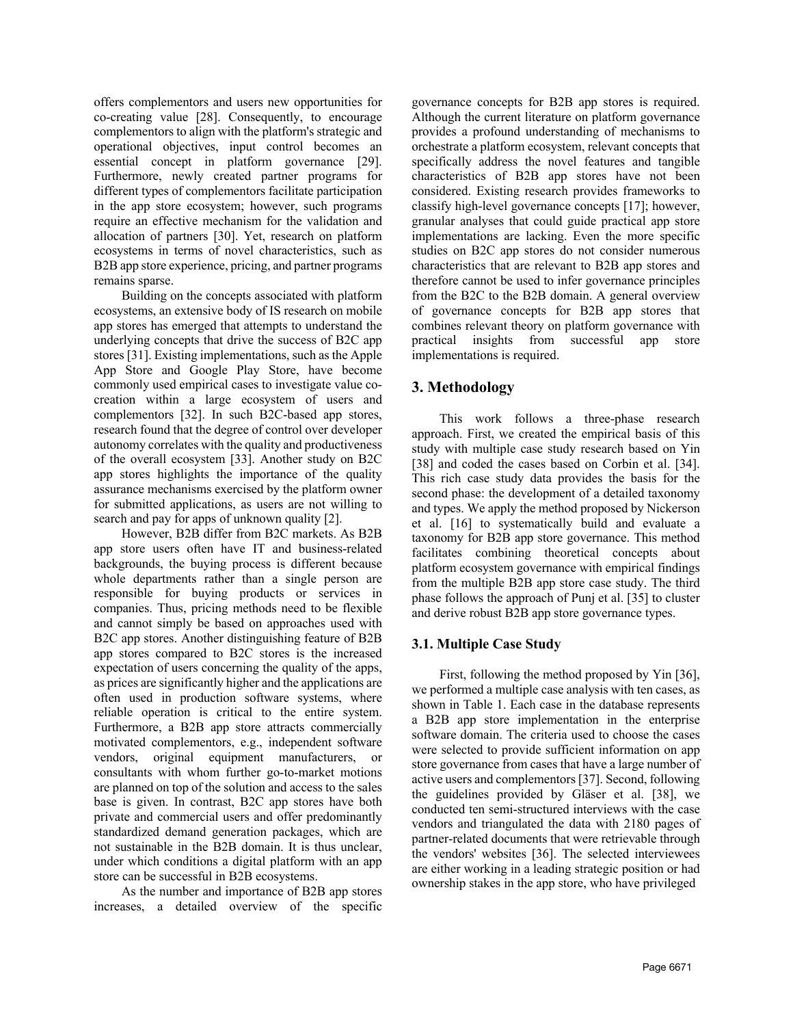offers complementors and users new opportunities for co-creating value [28]. Consequently, to encourage complementors to align with the platform's strategic and operational objectives, input control becomes an essential concept in platform governance [29]. Furthermore, newly created partner programs for different types of complementors facilitate participation in the app store ecosystem; however, such programs require an effective mechanism for the validation and allocation of partners [30]. Yet, research on platform ecosystems in terms of novel characteristics, such as B2B app store experience, pricing, and partner programs remains sparse.

Building on the concepts associated with platform ecosystems, an extensive body of IS research on mobile app stores has emerged that attempts to understand the underlying concepts that drive the success of B2C app stores [31]. Existing implementations, such as the Apple App Store and Google Play Store, have become commonly used empirical cases to investigate value cocreation within a large ecosystem of users and complementors [32]. In such B2C-based app stores, research found that the degree of control over developer autonomy correlates with the quality and productiveness of the overall ecosystem [33]. Another study on B2C app stores highlights the importance of the quality assurance mechanisms exercised by the platform owner for submitted applications, as users are not willing to search and pay for apps of unknown quality [2].

However, B2B differ from B2C markets. As B2B app store users often have IT and business-related backgrounds, the buying process is different because whole departments rather than a single person are responsible for buying products or services in companies. Thus, pricing methods need to be flexible and cannot simply be based on approaches used with B2C app stores. Another distinguishing feature of B2B app stores compared to B2C stores is the increased expectation of users concerning the quality of the apps, as prices are significantly higher and the applications are often used in production software systems, where reliable operation is critical to the entire system. Furthermore, a B2B app store attracts commercially motivated complementors, e.g., independent software vendors, original equipment manufacturers, or consultants with whom further go-to-market motions are planned on top of the solution and access to the sales base is given. In contrast, B2C app stores have both private and commercial users and offer predominantly standardized demand generation packages, which are not sustainable in the B2B domain. It is thus unclear, under which conditions a digital platform with an app store can be successful in B2B ecosystems.

As the number and importance of B2B app stores increases, a detailed overview of the specific governance concepts for B2B app stores is required. Although the current literature on platform governance provides a profound understanding of mechanisms to orchestrate a platform ecosystem, relevant concepts that specifically address the novel features and tangible characteristics of B2B app stores have not been considered. Existing research provides frameworks to classify high-level governance concepts [17]; however, granular analyses that could guide practical app store implementations are lacking. Even the more specific studies on B2C app stores do not consider numerous characteristics that are relevant to B2B app stores and therefore cannot be used to infer governance principles from the B2C to the B2B domain. A general overview of governance concepts for B2B app stores that combines relevant theory on platform governance with practical insights from successful app store implementations is required.

## **3. Methodology**

This work follows a three-phase research approach. First, we created the empirical basis of this study with multiple case study research based on Yin [38] and coded the cases based on Corbin et al. [34]. This rich case study data provides the basis for the second phase: the development of a detailed taxonomy and types. We apply the method proposed by Nickerson et al. [16] to systematically build and evaluate a taxonomy for B2B app store governance. This method facilitates combining theoretical concepts about platform ecosystem governance with empirical findings from the multiple B2B app store case study. The third phase follows the approach of Punj et al. [35] to cluster and derive robust B2B app store governance types.

## **3.1. Multiple Case Study**

First, following the method proposed by Yin [36], we performed a multiple case analysis with ten cases, as shown in Table 1. Each case in the database represents a B2B app store implementation in the enterprise software domain. The criteria used to choose the cases were selected to provide sufficient information on app store governance from cases that have a large number of active users and complementors [37]. Second, following the guidelines provided by Gläser et al. [38], we conducted ten semi-structured interviews with the case vendors and triangulated the data with 2180 pages of partner-related documents that were retrievable through the vendors' websites [36]. The selected interviewees are either working in a leading strategic position or had ownership stakes in the app store, who have privileged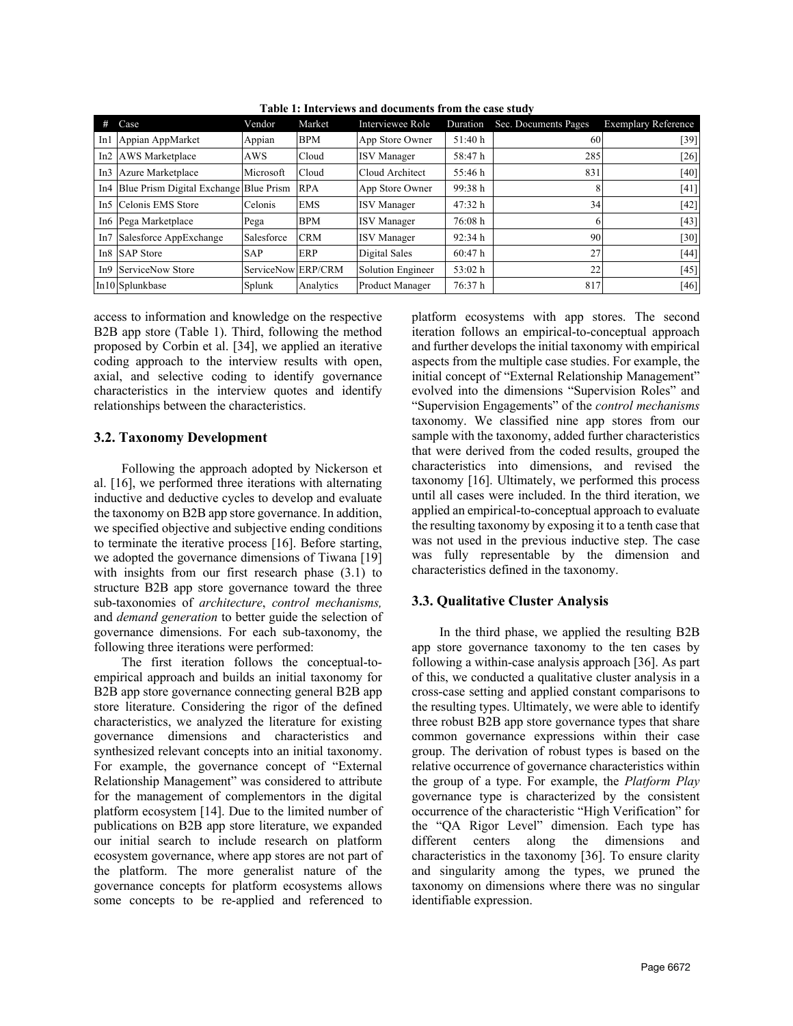| Case                                       | Vendor             | Market     | Interviewee Role         | Duration | Sec. Documents Pages | <b>Exemplary Reference</b> |
|--------------------------------------------|--------------------|------------|--------------------------|----------|----------------------|----------------------------|
| In1 Appian AppMarket                       | Appian             | <b>BPM</b> | App Store Owner          | 51:40 h  | 60                   | [39]                       |
| In2 AWS Marketplace                        | AWS                | Cloud      | <b>ISV</b> Manager       | 58:47h   | 285                  | $[26]$                     |
| In3 Azure Marketplace                      | Microsoft          | Cloud      | Cloud Architect          | 55:46 h  | 831                  | $[40]$                     |
| In4 Blue Prism Digital Exchange Blue Prism |                    | <b>RPA</b> | App Store Owner          | 99:38 h  | 8                    | [41]                       |
| In5 Celonis EMS Store                      | Celonis            | <b>EMS</b> | <b>ISV</b> Manager       | 47:32 h  | 34                   | [42]                       |
| In6 Pega Marketplace                       | Pega               | <b>BPM</b> | <b>ISV</b> Manager       | 76:08h   | 6                    | $[43]$                     |
| In7 Salesforce AppExchange                 | Salesforce         | <b>CRM</b> | <b>ISV</b> Manager       | 92:34h   | 90                   | $[30]$                     |
| In8 SAP Store                              | <b>SAP</b>         | ERP        | Digital Sales            | 60:47h   | 27                   | [44]                       |
| In9 ServiceNow Store                       | ServiceNow ERP/CRM |            | <b>Solution Engineer</b> | 53:02 h  | 22                   | $[45]$                     |
| In10 Splunkbase                            | Splunk             | Analytics  | <b>Product Manager</b>   | 76:37h   | 817                  | $[46]$                     |

**Table 1: Interviews and documents from the case study**

access to information and knowledge on the respective B2B app store (Table 1). Third, following the method proposed by Corbin et al. [34], we applied an iterative coding approach to the interview results with open, axial, and selective coding to identify governance characteristics in the interview quotes and identify relationships between the characteristics.

## **3.2. Taxonomy Development**

Following the approach adopted by Nickerson et al. [16], we performed three iterations with alternating inductive and deductive cycles to develop and evaluate the taxonomy on B2B app store governance. In addition, we specified objective and subjective ending conditions to terminate the iterative process [16]. Before starting, we adopted the governance dimensions of Tiwana [19] with insights from our first research phase (3.1) to structure B2B app store governance toward the three sub-taxonomies of *architecture*, *control mechanisms,* and *demand generation* to better guide the selection of governance dimensions. For each sub-taxonomy, the following three iterations were performed:

The first iteration follows the conceptual-toempirical approach and builds an initial taxonomy for B2B app store governance connecting general B2B app store literature. Considering the rigor of the defined characteristics, we analyzed the literature for existing governance dimensions and characteristics and synthesized relevant concepts into an initial taxonomy. For example, the governance concept of "External Relationship Management" was considered to attribute for the management of complementors in the digital platform ecosystem [14]. Due to the limited number of publications on B2B app store literature, we expanded our initial search to include research on platform ecosystem governance, where app stores are not part of the platform. The more generalist nature of the governance concepts for platform ecosystems allows some concepts to be re-applied and referenced to

platform ecosystems with app stores. The second iteration follows an empirical-to-conceptual approach and further develops the initial taxonomy with empirical aspects from the multiple case studies. For example, the initial concept of "External Relationship Management" evolved into the dimensions "Supervision Roles" and "Supervision Engagements" of the *control mechanisms*  taxonomy. We classified nine app stores from our sample with the taxonomy, added further characteristics that were derived from the coded results, grouped the characteristics into dimensions, and revised the taxonomy [16]. Ultimately, we performed this process until all cases were included. In the third iteration, we applied an empirical-to-conceptual approach to evaluate the resulting taxonomy by exposing it to a tenth case that was not used in the previous inductive step. The case was fully representable by the dimension and characteristics defined in the taxonomy.

## **3.3. Qualitative Cluster Analysis**

In the third phase, we applied the resulting B2B app store governance taxonomy to the ten cases by following a within-case analysis approach [36]. As part of this, we conducted a qualitative cluster analysis in a cross-case setting and applied constant comparisons to the resulting types. Ultimately, we were able to identify three robust B2B app store governance types that share common governance expressions within their case group. The derivation of robust types is based on the relative occurrence of governance characteristics within the group of a type. For example, the *Platform Play* governance type is characterized by the consistent occurrence of the characteristic "High Verification" for the "QA Rigor Level" dimension. Each type has different centers along the dimensions and characteristics in the taxonomy [36]. To ensure clarity and singularity among the types, we pruned the taxonomy on dimensions where there was no singular identifiable expression.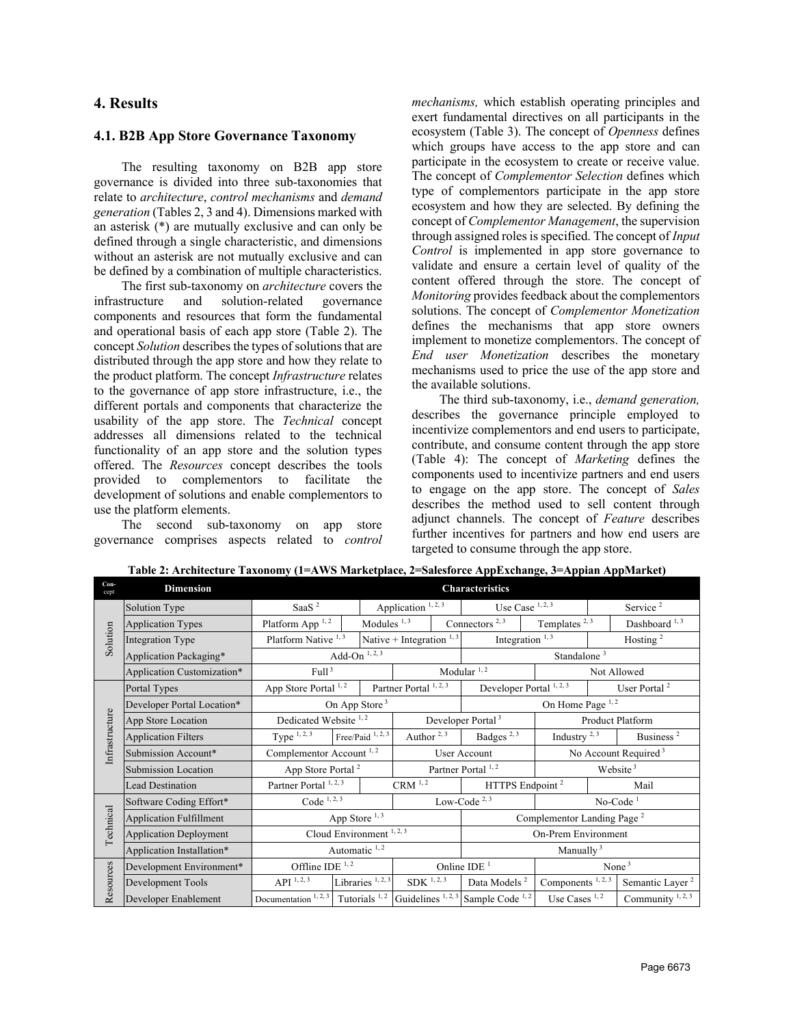### **4. Results**

#### **4.1. B2B App Store Governance Taxonomy**

The resulting taxonomy on B2B app store governance is divided into three sub-taxonomies that relate to *architecture*, *control mechanisms* and *demand generation* (Tables 2, 3 and 4). Dimensions marked with an asterisk (\*) are mutually exclusive and can only be defined through a single characteristic, and dimensions without an asterisk are not mutually exclusive and can be defined by a combination of multiple characteristics.

The first sub-taxonomy on *architecture* covers the infrastructure and solution-related governance components and resources that form the fundamental and operational basis of each app store (Table 2). The concept *Solution* describes the types of solutions that are distributed through the app store and how they relate to the product platform. The concept *Infrastructure* relates to the governance of app store infrastructure, i.e., the different portals and components that characterize the usability of the app store. The *Technical* concept addresses all dimensions related to the technical functionality of an app store and the solution types offered. The *Resources* concept describes the tools provided to complementors to facilitate the development of solutions and enable complementors to use the platform elements.

The second sub-taxonomy on app store governance comprises aspects related to *control*  *mechanisms,* which establish operating principles and exert fundamental directives on all participants in the ecosystem (Table 3). The concept of *Openness* defines which groups have access to the app store and can participate in the ecosystem to create or receive value. The concept of *Complementor Selection* defines which type of complementors participate in the app store ecosystem and how they are selected. By defining the concept of *Complementor Management*, the supervision through assigned roles is specified. The concept of *Input Control* is implemented in app store governance to validate and ensure a certain level of quality of the content offered through the store. The concept of *Monitoring* provides feedback about the complementors solutions. The concept of *Complementor Monetization*  defines the mechanisms that app store owners implement to monetize complementors. The concept of *End user Monetization* describes the monetary mechanisms used to price the use of the app store and the available solutions.

The third sub-taxonomy, i.e., *demand generation,* describes the governance principle employed to incentivize complementors and end users to participate, contribute, and consume content through the app store (Table 4): The concept of *Marketing* defines the components used to incentivize partners and end users to engage on the app store. The concept of *Sales* describes the method used to sell content through adjunct channels. The concept of *Feature* describes further incentives for partners and how end users are targeted to consume through the app store.

| $Con-$<br>cept | <b>Dimension</b>               | <b>Characteristics</b>                                                                                               |  |                              |                                |                             |                                        |                                  |                      |                              |
|----------------|--------------------------------|----------------------------------------------------------------------------------------------------------------------|--|------------------------------|--------------------------------|-----------------------------|----------------------------------------|----------------------------------|----------------------|------------------------------|
|                | Solution Type                  | Saa $S2$                                                                                                             |  |                              | Application <sup>1, 2, 3</sup> |                             | Use Case $1, 2, 3$                     |                                  | Service <sup>2</sup> |                              |
| Solution       | <b>Application Types</b>       | Platform App <sup>1,2</sup>                                                                                          |  | Modules $1, 3$               |                                |                             | Connectors $2, 3$                      | Templates <sup>2,3</sup>         |                      | Dashboard <sup>1,3</sup>     |
|                | Integration Type               | Platform Native <sup>1,3</sup>                                                                                       |  | Native + Integration $1, 3$  |                                | Integration $1, 3$          |                                        |                                  | Hosting <sup>2</sup> |                              |
|                | Application Packaging*         | $\mbox{Add}\text{-}\mbox{On}^{\,1,\,2,\,3}$                                                                          |  |                              |                                |                             |                                        | Standalone <sup>3</sup>          |                      |                              |
|                | Application Customization*     | Full <sup>3</sup>                                                                                                    |  |                              |                                |                             | Modular $1, 2$                         |                                  | Not Allowed          |                              |
|                | Portal Types                   | App Store Portal 1,2                                                                                                 |  |                              | Partner Portal 1, 2, 3         |                             | Developer Portal 1, 2, 3               |                                  |                      | User Portal $2$              |
|                | Developer Portal Location*     | On App Store <sup>3</sup>                                                                                            |  |                              |                                |                             |                                        | On Home Page <sup>1,2</sup>      |                      |                              |
| Infrastructure | App Store Location             | Dedicated Website <sup>1,2</sup>                                                                                     |  |                              |                                |                             | Developer Portal <sup>3</sup>          |                                  |                      | Product Platform             |
|                | <b>Application Filters</b>     | Type $1, 2, 3$                                                                                                       |  | Free/Paid <sup>1, 2, 3</sup> | Author $2,3$                   |                             | Badges <sup>2,3</sup>                  | Industry $^{2,3}$                |                      | Business <sup>2</sup>        |
|                | Submission Account*            | Complementor Account <sup>1,2</sup>                                                                                  |  |                              |                                | User Account                |                                        | No Account Required <sup>3</sup> |                      |                              |
|                | <b>Submission Location</b>     | App Store Portal <sup>2</sup>                                                                                        |  |                              | Partner Portal 1, 2            |                             | Website <sup>3</sup>                   |                                  |                      |                              |
|                | <b>Lead Destination</b>        | Partner Portal 1, 2, 3                                                                                               |  | $\mathrm{CRM}$ $^{1,\,2}$    |                                | HTTPS Endpoint <sup>2</sup> |                                        | Mail                             |                      |                              |
|                | Software Coding Effort*        | Code $^{1, 2, 3}$                                                                                                    |  |                              | Low-Code $2,3$                 |                             |                                        | $No-Code1$                       |                      |                              |
| Technical      | <b>Application Fulfillment</b> | App Store $1, 3$                                                                                                     |  |                              |                                |                             | Complementor Landing Page <sup>2</sup> |                                  |                      |                              |
|                | <b>Application Deployment</b>  |                                                                                                                      |  | Cloud Environment $1, 2, 3$  |                                |                             | On-Prem Environment                    |                                  |                      |                              |
|                | Application Installation*      |                                                                                                                      |  | Automatic 1, 2               |                                |                             |                                        | Manually $3$                     |                      |                              |
|                | Development Environment*       | Offline IDE $^{1,2}$                                                                                                 |  |                              |                                |                             | Online IDE $1$                         | None $3$                         |                      |                              |
| Resources      | Development Tools              | API $^{\rm 1,\,2,\,3}$                                                                                               |  | Libraries <sup>1, 2, 3</sup> | SDK <sup>1, 2, 3</sup>         |                             | Data Models <sup>2</sup>               | Components <sup>1, 2, 3</sup>    |                      | Semantic Layer <sup>2</sup>  |
|                | Developer Enablement           | Documentation <sup>1, 2, 3</sup> Tutorials <sup>1, 2</sup> Guidelines <sup>1, 2, 3</sup> Sample Code <sup>1, 2</sup> |  |                              |                                |                             |                                        | Use Cases $1, 2$                 |                      | Community <sup>1, 2, 3</sup> |

**Table 2: Architecture Taxonomy (1=AWS Marketplace, 2=Salesforce AppExchange, 3=Appian AppMarket)**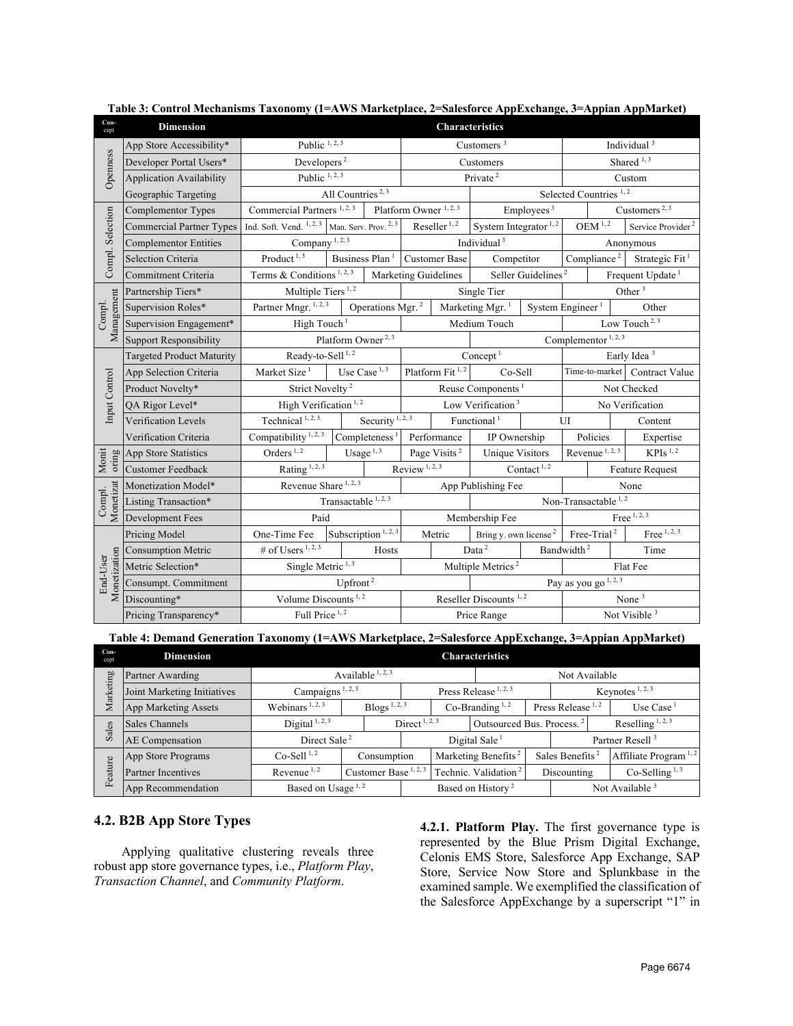| Con-<br>cept             | <b>Dimension</b>                                   | Characteristics                           |                               |                                  |                                   |                             |                                   |                                |                                   |                         |                               |
|--------------------------|----------------------------------------------------|-------------------------------------------|-------------------------------|----------------------------------|-----------------------------------|-----------------------------|-----------------------------------|--------------------------------|-----------------------------------|-------------------------|-------------------------------|
|                          | App Store Accessibility*                           | Public $1, 2, 3$                          |                               |                                  | Customers $3$                     |                             |                                   |                                | Individual <sup>3</sup>           |                         |                               |
| Openness                 | Developer Portal Users*                            | Developers <sup>2</sup>                   |                               |                                  | Customers                         |                             |                                   |                                | Shared $^{1,3}$                   |                         |                               |
|                          | <b>Application Availability</b>                    | Public $1, 2, 3$                          |                               |                                  |                                   |                             | Private <sup>2</sup>              |                                |                                   |                         | Custom                        |
|                          | Geographic Targeting                               | All Countries <sup>2, 3</sup>             |                               |                                  |                                   |                             |                                   |                                | Selected Countries <sup>1,2</sup> |                         |                               |
|                          | Complementor Types                                 | Commercial Partners <sup>1, 2, 3</sup>    |                               |                                  | Platform Owner <sup>1, 2, 3</sup> |                             | Employees <sup>3</sup>            |                                |                                   |                         | Customers <sup>2, 3</sup>     |
|                          | <b>Commercial Partner Types</b>                    | Ind. Soft. Vend. <sup>1, 2, 3</sup>       |                               | Man. Serv. Prov. <sup>2, 3</sup> |                                   | Reseller $1, 2$             | System Integrator <sup>1,2</sup>  |                                |                                   | $\text{OEM}^{\,1,\,2}$  | Service Provider <sup>2</sup> |
| Compl. Selection         | <b>Complementor Entities</b>                       | Company <sup>1, 2, 3</sup>                |                               |                                  |                                   |                             | Individual <sup>3</sup>           |                                |                                   |                         | Anonymous                     |
|                          | Selection Criteria                                 | Product <sup>1, <math>3</math></sup>      |                               | Business Plan <sup>1</sup>       |                                   | <b>Customer Base</b>        | Competitor                        |                                |                                   | Compliance <sup>2</sup> | Strategic Fit <sup>1</sup>    |
|                          | Commitment Criteria                                | Terms & Conditions <sup>1, 2, 3</sup>     |                               |                                  |                                   | Marketing Guidelines        |                                   | Seller Guidelines <sup>2</sup> |                                   |                         | Frequent Update <sup>1</sup>  |
|                          | Partnership Tiers*                                 | Multiple Tiers <sup>1,2</sup>             |                               |                                  |                                   |                             | Single Tier                       |                                |                                   |                         | Other <sup>3</sup>            |
| Management<br>Compl.     | Supervision Roles*                                 | Partner Mngr. <sup>1, 2, 3</sup>          |                               | Operations Mgr. <sup>2</sup>     |                                   |                             | Marketing Mgr. <sup>1</sup>       | System Engineer <sup>1</sup>   |                                   |                         | Other                         |
|                          | Supervision Engagement*                            | High Touch <sup>1</sup>                   |                               |                                  | Medium Touch                      |                             |                                   | Low Touch <sup>2, 3</sup>      |                                   |                         |                               |
|                          | <b>Support Responsibility</b>                      | Platform Owner <sup>2, 3</sup>            |                               |                                  |                                   |                             |                                   | Complementor $1, 2, 3$         |                                   |                         |                               |
|                          | <b>Targeted Product Maturity</b>                   | Ready-to-Sell <sup>1,2</sup>              |                               |                                  |                                   | Concept <sup>1</sup>        |                                   | Early Idea <sup>3</sup>        |                                   |                         |                               |
|                          | App Selection Criteria                             | Market Size <sup>1</sup>                  |                               | Use Case $1, 3$                  |                                   | Platform Fit <sup>1,2</sup> | Co-Sell                           |                                | Time-to-market                    |                         | <b>Contract Value</b>         |
|                          | Product Novelty*                                   | Strict Novelty <sup>2</sup>               |                               |                                  | Reuse Components <sup>1</sup>     |                             |                                   |                                |                                   |                         | Not Checked                   |
| Input Control            | QA Rigor Level*                                    | High Verification <sup>1,2</sup>          |                               |                                  | Low Verification <sup>3</sup>     |                             |                                   |                                |                                   |                         | No Verification               |
|                          | Verification Levels                                | Technical <sup>1, 2, <math>3</math></sup> |                               | Security <sup>1, 2, 3</sup>      |                                   |                             | Functional <sup>1</sup>           |                                | UI                                |                         | Content                       |
|                          | Verification Criteria                              | Compatibility <sup>1, 2, 3</sup>          |                               | Completeness $1$                 |                                   | Performance<br>IP Ownership |                                   |                                | Policies                          |                         | Expertise                     |
| Monit<br>oring           | App Store Statistics                               | Orders <sup>1,2</sup>                     |                               | Usage $\overline{^{1,3}}$        |                                   | Page Visits <sup>2</sup>    | <b>Unique Visitors</b>            |                                | Revenue <sup>1, 2, 3</sup>        |                         | $KPIs$ <sup>1,2</sup>         |
|                          | <b>Customer Feedback</b>                           | Rating <sup>1, 2, 3</sup>                 |                               |                                  | Review <sup>1, 2, 3</sup>         |                             | Contact $^{1,2}$                  |                                | <b>Feature Request</b>            |                         |                               |
|                          | Monetization Model*                                | Revenue Share <sup>1, 2, 3</sup>          |                               |                                  | App Publishing Fee                |                             |                                   | None                           |                                   |                         |                               |
| Monetizat<br>Compl.      | Listing Transaction*                               |                                           | Transactable $\sqrt{1, 2, 3}$ |                                  |                                   |                             |                                   |                                | Non-Transactable <sup>1,2</sup>   |                         |                               |
|                          | Development Fees                                   | Paid                                      |                               |                                  |                                   |                             | Membership Fee                    |                                |                                   |                         | Free $\overline{^{1,2,3}}$    |
|                          | Pricing Model                                      | One-Time Fee                              |                               | Subscription <sup>1, 2, 3</sup>  |                                   | Metric                      | Bring y. own license <sup>2</sup> |                                | Free-Trial <sup>2</sup>           |                         | Free $1, 2, 3$                |
|                          | <b>Consumption Metric</b>                          | # of Users $1, 2, 3$                      |                               | Hosts                            |                                   |                             | Data <sup>2</sup>                 |                                | Bandwidth <sup>2</sup><br>Time    |                         |                               |
|                          | Metric Selection*                                  | Single Metric $1, 3$                      |                               |                                  |                                   |                             | Multiple Metrics <sup>2</sup>     |                                | Flat Fee                          |                         |                               |
| Monetization<br>End-User | Consumpt. Commitment                               |                                           | Upfront <sup>2</sup>          |                                  |                                   |                             |                                   |                                | Pay as you go $1, 2, 3$           |                         |                               |
|                          | Discounting*                                       | Volume Discounts <sup>1,2</sup>           |                               |                                  | Reseller Discounts <sup>1,2</sup> |                             |                                   | None $3$                       |                                   |                         |                               |
|                          | Full Price <sup>1,2</sup><br>Pricing Transparency* |                                           |                               |                                  | Price Range                       |                             |                                   |                                | Not Visible <sup>3</sup>          |                         |                               |

**Table 3: Control Mechanisms Taxonomy (1=AWS Marketplace, 2=Salesforce AppExchange, 3=Appian AppMarket)**

**Table 4: Demand Generation Taxonomy (1=AWS Marketplace, 2=Salesforce AppExchange, 3=Appian AppMarket)**

| Con-<br>cept | <b>Dimension</b>            | <b>Characteristics</b>                                  |                                  |                           |                                 |                                       |                             |                             |  |                                  |                     |
|--------------|-----------------------------|---------------------------------------------------------|----------------------------------|---------------------------|---------------------------------|---------------------------------------|-----------------------------|-----------------------------|--|----------------------------------|---------------------|
|              | Partner Awarding            | Available $\frac{1}{2}$ , $\frac{3}{2}$                 |                                  | Not Available             |                                 |                                       |                             |                             |  |                                  |                     |
| Marketing    | Joint Marketing Initiatives | Campaigns <sup>1, 2, 3</sup>                            |                                  | Press Release $1, 2, 3$   |                                 |                                       |                             |                             |  | Keynotes $1, 2, 3$               |                     |
|              | App Marketing Assets        | Blogs <sup>1, 2, 3</sup><br>Webinars <sup>1, 2, 3</sup> |                                  |                           | Co-Branding <sup>1,2</sup>      |                                       |                             | Press Release $1, 2$        |  | Use Case <sup>1</sup>            |                     |
| Sales        | Sales Channels              | Digital $1, 2, 3$                                       |                                  | Direct <sup>1, 2, 3</sup> |                                 | Outsourced Bus. Process. <sup>2</sup> |                             |                             |  |                                  | Reselling $1, 2, 3$ |
|              | AE Compensation             | Direct Sale <sup>2</sup>                                |                                  |                           | Digital Sale                    |                                       |                             | Partner Resell <sup>3</sup> |  |                                  |                     |
|              | App Store Programs          | $Co-Sell1,2$<br>Consumption                             |                                  |                           | Marketing Benefits <sup>2</sup> |                                       | Sales Benefits <sup>2</sup> |                             |  | Affiliate Program <sup>1,2</sup> |                     |
| Feature      | <b>Partner Incentives</b>   | Revenue $1, 2$                                          | Customer Base <sup>1, 2, 3</sup> |                           |                                 | Technic. Validation <sup>2</sup>      |                             | Discounting                 |  |                                  | $Co-Selling1,3$     |
|              | App Recommendation          | Based on Usage <sup>1,2</sup>                           |                                  |                           | Based on History <sup>2</sup>   |                                       |                             | Not Available $3$           |  |                                  |                     |

## **4.2. B2B App Store Types**

Applying qualitative clustering reveals three robust app store governance types, i.e., *Platform Play*, *Transaction Channel*, and *Community Platform*.

**4.2.1. Platform Play.** The first governance type is represented by the Blue Prism Digital Exchange, Celonis EMS Store, Salesforce App Exchange, SAP Store, Service Now Store and Splunkbase in the examined sample. We exemplified the classification of the Salesforce AppExchange by a superscript "1" in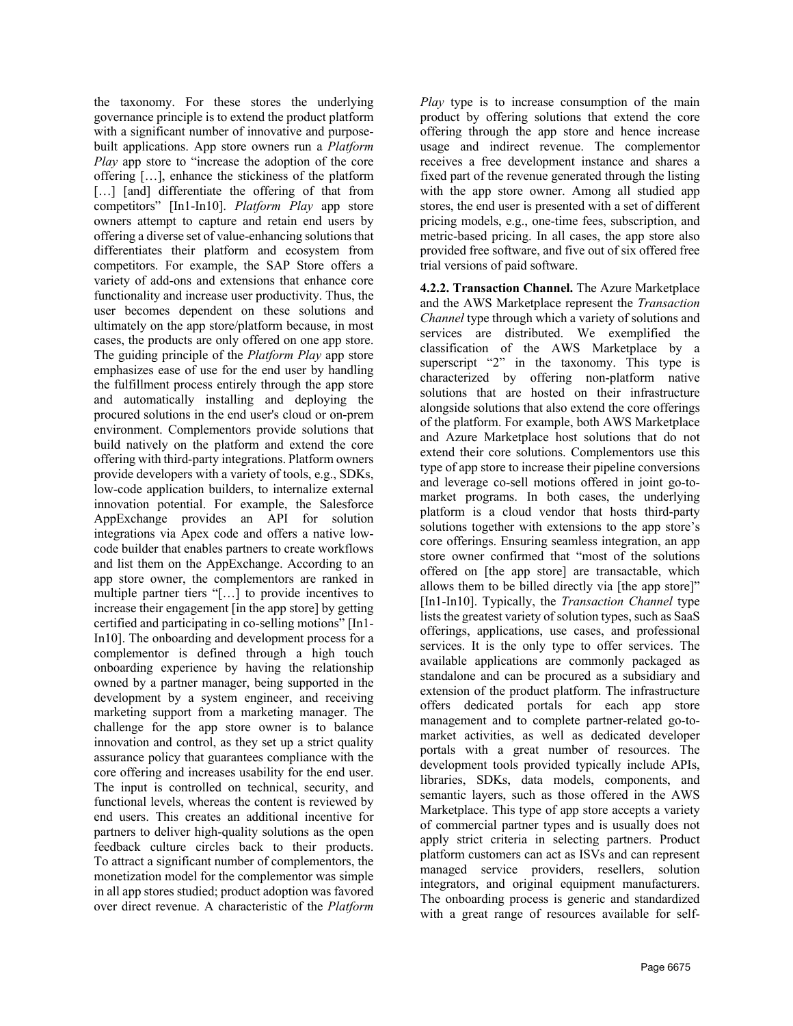the taxonomy. For these stores the underlying governance principle is to extend the product platform with a significant number of innovative and purposebuilt applications. App store owners run a *Platform Play* app store to "increase the adoption of the core offering […], enhance the stickiness of the platform [...] [and] differentiate the offering of that from competitors" [In1-In10]. *Platform Play* app store owners attempt to capture and retain end users by offering a diverse set of value-enhancing solutions that differentiates their platform and ecosystem from competitors. For example, the SAP Store offers a variety of add-ons and extensions that enhance core functionality and increase user productivity. Thus, the user becomes dependent on these solutions and ultimately on the app store/platform because, in most cases, the products are only offered on one app store. The guiding principle of the *Platform Play* app store emphasizes ease of use for the end user by handling the fulfillment process entirely through the app store and automatically installing and deploying the procured solutions in the end user's cloud or on-prem environment. Complementors provide solutions that build natively on the platform and extend the core offering with third-party integrations. Platform owners provide developers with a variety of tools, e.g., SDKs, low-code application builders, to internalize external innovation potential. For example, the Salesforce AppExchange provides an API for solution integrations via Apex code and offers a native lowcode builder that enables partners to create workflows and list them on the AppExchange. According to an app store owner, the complementors are ranked in multiple partner tiers "[…] to provide incentives to increase their engagement [in the app store] by getting certified and participating in co-selling motions" [In1- In10]. The onboarding and development process for a complementor is defined through a high touch onboarding experience by having the relationship owned by a partner manager, being supported in the development by a system engineer, and receiving marketing support from a marketing manager. The challenge for the app store owner is to balance innovation and control, as they set up a strict quality assurance policy that guarantees compliance with the core offering and increases usability for the end user. The input is controlled on technical, security, and functional levels, whereas the content is reviewed by end users. This creates an additional incentive for partners to deliver high-quality solutions as the open feedback culture circles back to their products. To attract a significant number of complementors, the monetization model for the complementor was simple in all app stores studied; product adoption was favored over direct revenue. A characteristic of the *Platform* 

*Play* type is to increase consumption of the main product by offering solutions that extend the core offering through the app store and hence increase usage and indirect revenue. The complementor receives a free development instance and shares a fixed part of the revenue generated through the listing with the app store owner. Among all studied app stores, the end user is presented with a set of different pricing models, e.g., one-time fees, subscription, and metric-based pricing. In all cases, the app store also provided free software, and five out of six offered free trial versions of paid software.

**4.2.2. Transaction Channel.** The Azure Marketplace and the AWS Marketplace represent the *Transaction Channel* type through which a variety of solutions and services are distributed. We exemplified the classification of the AWS Marketplace by a superscript "2" in the taxonomy. This type is characterized by offering non-platform native solutions that are hosted on their infrastructure alongside solutions that also extend the core offerings of the platform. For example, both AWS Marketplace and Azure Marketplace host solutions that do not extend their core solutions. Complementors use this type of app store to increase their pipeline conversions and leverage co-sell motions offered in joint go-tomarket programs. In both cases, the underlying platform is a cloud vendor that hosts third-party solutions together with extensions to the app store's core offerings. Ensuring seamless integration, an app store owner confirmed that "most of the solutions offered on [the app store] are transactable, which allows them to be billed directly via [the app store]" [In1-In10]. Typically, the *Transaction Channel* type lists the greatest variety of solution types, such as SaaS offerings, applications, use cases, and professional services. It is the only type to offer services. The available applications are commonly packaged as standalone and can be procured as a subsidiary and extension of the product platform. The infrastructure offers dedicated portals for each app store management and to complete partner-related go-tomarket activities, as well as dedicated developer portals with a great number of resources. The development tools provided typically include APIs, libraries, SDKs, data models, components, and semantic layers, such as those offered in the AWS Marketplace. This type of app store accepts a variety of commercial partner types and is usually does not apply strict criteria in selecting partners. Product platform customers can act as ISVs and can represent managed service providers, resellers, solution integrators, and original equipment manufacturers. The onboarding process is generic and standardized with a great range of resources available for self-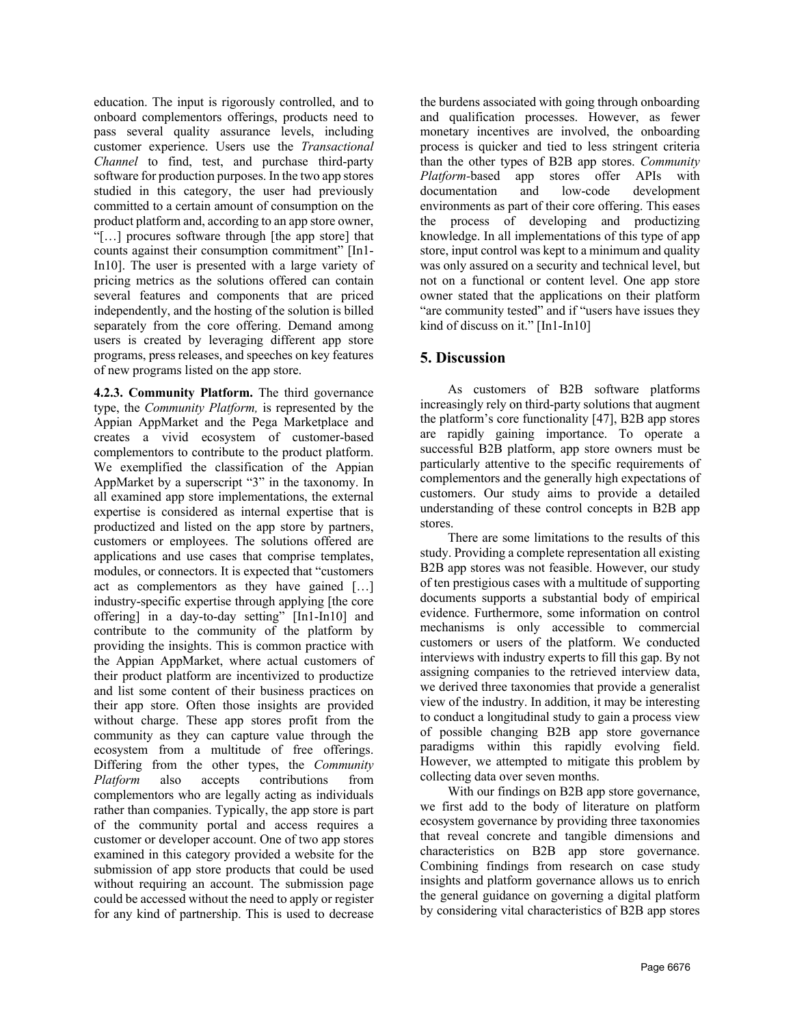education. The input is rigorously controlled, and to onboard complementors offerings, products need to pass several quality assurance levels, including customer experience. Users use the *Transactional Channel* to find, test, and purchase third-party software for production purposes. In the two app stores studied in this category, the user had previously committed to a certain amount of consumption on the product platform and, according to an app store owner, "[…] procures software through [the app store] that counts against their consumption commitment" [In1- In10]. The user is presented with a large variety of pricing metrics as the solutions offered can contain several features and components that are priced independently, and the hosting of the solution is billed separately from the core offering. Demand among users is created by leveraging different app store programs, press releases, and speeches on key features of new programs listed on the app store.

**4.2.3. Community Platform.** The third governance type, the *Community Platform,* is represented by the Appian AppMarket and the Pega Marketplace and creates a vivid ecosystem of customer-based complementors to contribute to the product platform. We exemplified the classification of the Appian AppMarket by a superscript "3" in the taxonomy. In all examined app store implementations, the external expertise is considered as internal expertise that is productized and listed on the app store by partners, customers or employees. The solutions offered are applications and use cases that comprise templates, modules, or connectors. It is expected that "customers act as complementors as they have gained […] industry-specific expertise through applying [the core offering] in a day-to-day setting" [In1-In10] and contribute to the community of the platform by providing the insights. This is common practice with the Appian AppMarket, where actual customers of their product platform are incentivized to productize and list some content of their business practices on their app store. Often those insights are provided without charge. These app stores profit from the community as they can capture value through the ecosystem from a multitude of free offerings. Differing from the other types, the *Community Platform* also accepts contributions from complementors who are legally acting as individuals rather than companies. Typically, the app store is part of the community portal and access requires a customer or developer account. One of two app stores examined in this category provided a website for the submission of app store products that could be used without requiring an account. The submission page could be accessed without the need to apply or register for any kind of partnership. This is used to decrease

the burdens associated with going through onboarding and qualification processes. However, as fewer monetary incentives are involved, the onboarding process is quicker and tied to less stringent criteria than the other types of B2B app stores. *Community Platform-*based app stores offer APIs with documentation and low-code development environments as part of their core offering. This eases the process of developing and productizing knowledge. In all implementations of this type of app store, input control was kept to a minimum and quality was only assured on a security and technical level, but not on a functional or content level. One app store owner stated that the applications on their platform "are community tested" and if "users have issues they kind of discuss on it." [In1-In10]

## **5. Discussion**

As customers of B2B software platforms increasingly rely on third-party solutions that augment the platform's core functionality [47], B2B app stores are rapidly gaining importance. To operate a successful B2B platform, app store owners must be particularly attentive to the specific requirements of complementors and the generally high expectations of customers. Our study aims to provide a detailed understanding of these control concepts in B2B app stores.

There are some limitations to the results of this study. Providing a complete representation all existing B2B app stores was not feasible. However, our study of ten prestigious cases with a multitude of supporting documents supports a substantial body of empirical evidence. Furthermore, some information on control mechanisms is only accessible to commercial customers or users of the platform. We conducted interviews with industry experts to fill this gap. By not assigning companies to the retrieved interview data, we derived three taxonomies that provide a generalist view of the industry. In addition, it may be interesting to conduct a longitudinal study to gain a process view of possible changing B2B app store governance paradigms within this rapidly evolving field. However, we attempted to mitigate this problem by collecting data over seven months.

With our findings on B2B app store governance, we first add to the body of literature on platform ecosystem governance by providing three taxonomies that reveal concrete and tangible dimensions and characteristics on B2B app store governance. Combining findings from research on case study insights and platform governance allows us to enrich the general guidance on governing a digital platform by considering vital characteristics of B2B app stores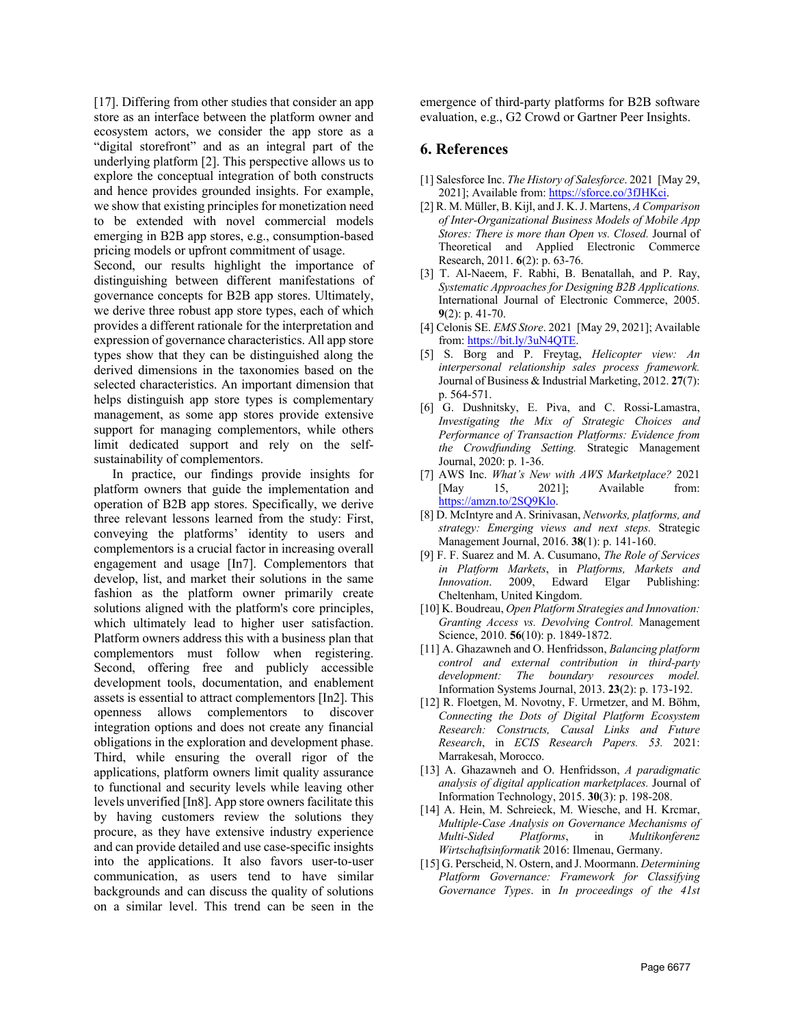[17]. Differing from other studies that consider an app store as an interface between the platform owner and ecosystem actors, we consider the app store as a "digital storefront" and as an integral part of the underlying platform [2]. This perspective allows us to explore the conceptual integration of both constructs and hence provides grounded insights. For example, we show that existing principles for monetization need to be extended with novel commercial models emerging in B2B app stores, e.g., consumption-based pricing models or upfront commitment of usage.

Second, our results highlight the importance of distinguishing between different manifestations of governance concepts for B2B app stores. Ultimately, we derive three robust app store types, each of which provides a different rationale for the interpretation and expression of governance characteristics. All app store types show that they can be distinguished along the derived dimensions in the taxonomies based on the selected characteristics. An important dimension that helps distinguish app store types is complementary management, as some app stores provide extensive support for managing complementors, while others limit dedicated support and rely on the selfsustainability of complementors.

In practice, our findings provide insights for platform owners that guide the implementation and operation of B2B app stores. Specifically, we derive three relevant lessons learned from the study: First, conveying the platforms' identity to users and complementors is a crucial factor in increasing overall engagement and usage [In7]. Complementors that develop, list, and market their solutions in the same fashion as the platform owner primarily create solutions aligned with the platform's core principles, which ultimately lead to higher user satisfaction. Platform owners address this with a business plan that complementors must follow when registering. Second, offering free and publicly accessible development tools, documentation, and enablement assets is essential to attract complementors [In2]. This openness allows complementors to discover integration options and does not create any financial obligations in the exploration and development phase. Third, while ensuring the overall rigor of the applications, platform owners limit quality assurance to functional and security levels while leaving other levels unverified [In8]. App store owners facilitate this by having customers review the solutions they procure, as they have extensive industry experience and can provide detailed and use case-specific insights into the applications. It also favors user-to-user communication, as users tend to have similar backgrounds and can discuss the quality of solutions on a similar level. This trend can be seen in the

emergence of third-party platforms for B2B software evaluation, e.g., G2 Crowd or Gartner Peer Insights.

#### **6. References**

- [1] Salesforce Inc. *The History of Salesforce*. 2021 [May 29, 2021]; Available from: https://sforce.co/3fJHKci.
- [2] R. M. Müller, B. Kijl, and J. K. J. Martens, *A Comparison of Inter-Organizational Business Models of Mobile App Stores: There is more than Open vs. Closed.* Journal of Theoretical and Applied Electronic Commerce Research, 2011. **6**(2): p. 63-76.
- [3] T. Al-Naeem, F. Rabhi, B. Benatallah, and P. Ray, *Systematic Approaches for Designing B2B Applications.* International Journal of Electronic Commerce, 2005. **9**(2): p. 41-70.
- [4] Celonis SE. *EMS Store*. 2021 [May 29, 2021]; Available from: https://bit.ly/3uN4QTE.
- [5] S. Borg and P. Freytag, *Helicopter view: An interpersonal relationship sales process framework.* Journal of Business & Industrial Marketing, 2012. **27**(7): p. 564-571.
- [6] G. Dushnitsky, E. Piva, and C. Rossi-Lamastra, *Investigating the Mix of Strategic Choices and Performance of Transaction Platforms: Evidence from the Crowdfunding Setting.* Strategic Management Journal, 2020: p. 1-36.
- [7] AWS Inc. *What's New with AWS Marketplace?* 2021 [May 15, 2021]; Available from: https://amzn.to/2SQ9Klo.
- [8] D. McIntyre and A. Srinivasan, *Networks, platforms, and strategy: Emerging views and next steps.* Strategic Management Journal, 2016. **38**(1): p. 141-160.
- [9] F. F. Suarez and M. A. Cusumano, *The Role of Services in Platform Markets*, in *Platforms, Markets and Innovation*. 2009, Edward Elgar Publishing: Cheltenham, United Kingdom.
- [10] K. Boudreau, *Open Platform Strategies and Innovation: Granting Access vs. Devolving Control.* Management Science, 2010. **56**(10): p. 1849-1872.
- [11] A. Ghazawneh and O. Henfridsson, *Balancing platform control and external contribution in third-party development: The boundary resources model.* Information Systems Journal, 2013. **23**(2): p. 173-192.
- [12] R. Floetgen, M. Novotny, F. Urmetzer, and M. Böhm, *Connecting the Dots of Digital Platform Ecosystem Research: Constructs, Causal Links and Future Research*, in *ECIS Research Papers. 53.* 2021: Marrakesah, Morocco.
- [13] A. Ghazawneh and O. Henfridsson, *A paradigmatic analysis of digital application marketplaces.* Journal of Information Technology, 2015. **30**(3): p. 198-208.
- [14] A. Hein, M. Schreieck, M. Wiesche, and H. Krcmar, *Multiple-Case Analysis on Governance Mechanisms of Multi-Sided Platforms*, in *Multikonferenz Wirtschaftsinformatik* 2016: Ilmenau, Germany.
- [15] G. Perscheid, N. Ostern, and J. Moormann. *Determining Platform Governance: Framework for Classifying Governance Types*. in *In proceedings of the 41st*